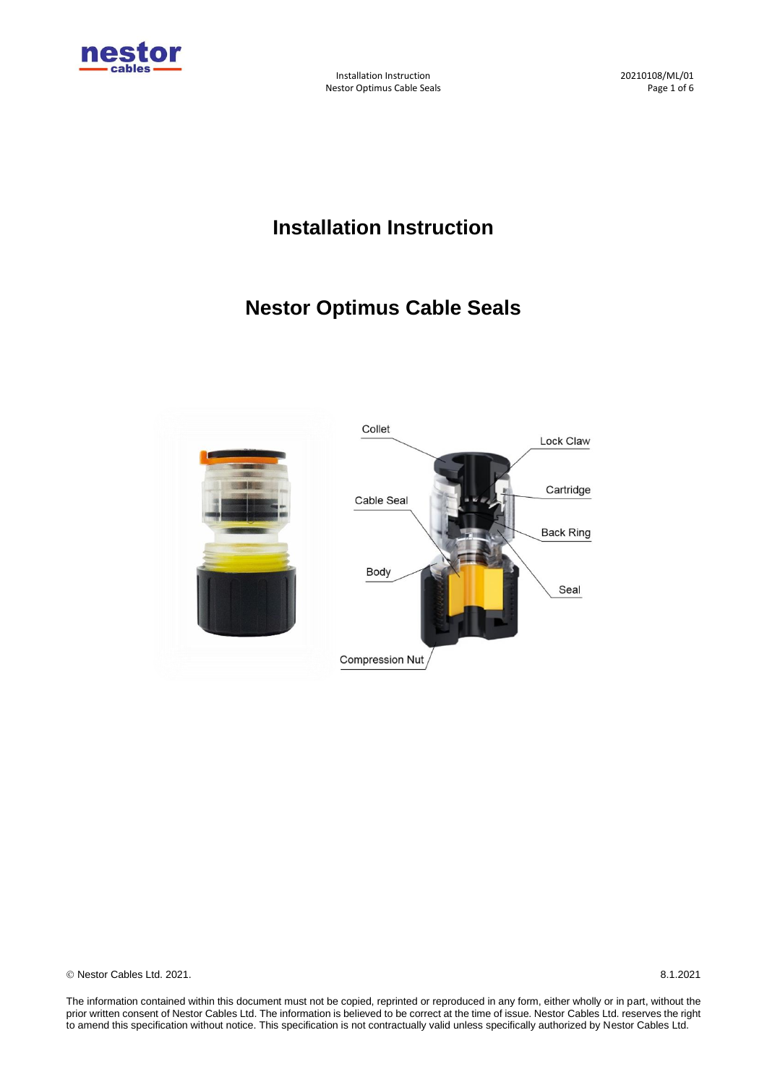

Installation Instruction 20210108/ML/01 Nestor Optimus Cable Seals **Page 1 of 6** and 2 and 2 and 2 and 2 and 2 and 2 and 2 and 2 and 2 and 2 and 2 and 2 and 2 and 2 and 2 and 2 and 2 and 2 and 2 and 2 and 2 and 2 and 2 and 2 and 2 and 2 and 2 and 2 and 2 and 2 a

# **Installation Instruction**

# **Nestor Optimus Cable Seals**



© Nestor Cables Ltd. 2021. 8.1.2021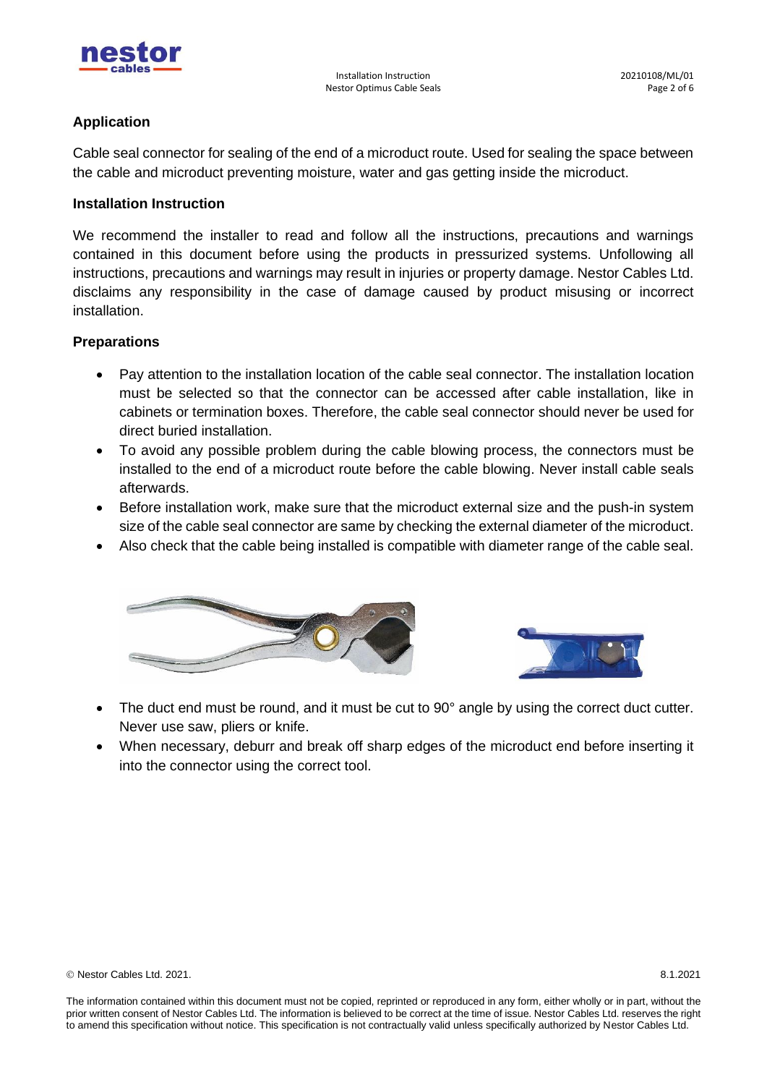

## **Application**

Cable seal connector for sealing of the end of a microduct route. Used for sealing the space between the cable and microduct preventing moisture, water and gas getting inside the microduct.

## **Installation Instruction**

We recommend the installer to read and follow all the instructions, precautions and warnings contained in this document before using the products in pressurized systems. Unfollowing all instructions, precautions and warnings may result in injuries or property damage. Nestor Cables Ltd. disclaims any responsibility in the case of damage caused by product misusing or incorrect installation.

### **Preparations**

- Pay attention to the installation location of the cable seal connector. The installation location must be selected so that the connector can be accessed after cable installation, like in cabinets or termination boxes. Therefore, the cable seal connector should never be used for direct buried installation.
- To avoid any possible problem during the cable blowing process, the connectors must be installed to the end of a microduct route before the cable blowing. Never install cable seals afterwards.
- Before installation work, make sure that the microduct external size and the push-in system size of the cable seal connector are same by checking the external diameter of the microduct.
- Also check that the cable being installed is compatible with diameter range of the cable seal.





- The duct end must be round, and it must be cut to 90° angle by using the correct duct cutter. Never use saw, pliers or knife.
- When necessary, deburr and break off sharp edges of the microduct end before inserting it into the connector using the correct tool.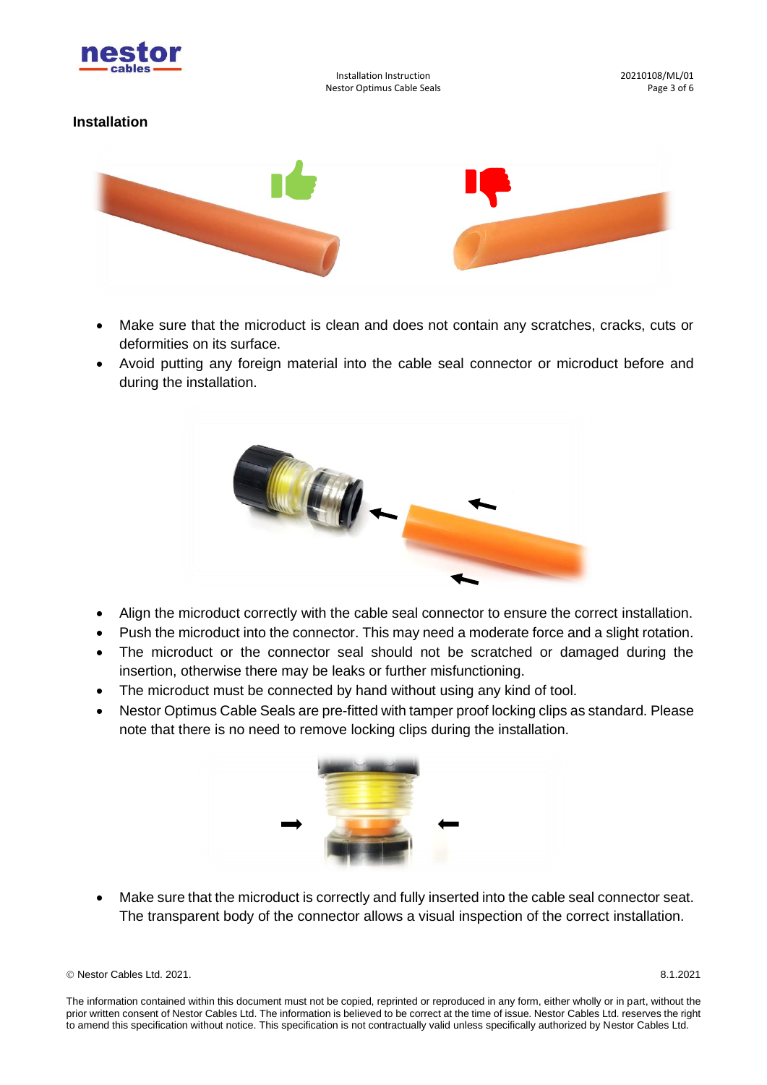

Installation Instruction 20210108/ML/01 Nestor Optimus Cable Seals **Page 3 of 6** 

## **Installation**



- Make sure that the microduct is clean and does not contain any scratches, cracks, cuts or deformities on its surface.
- Avoid putting any foreign material into the cable seal connector or microduct before and during the installation.



- Align the microduct correctly with the cable seal connector to ensure the correct installation.
- Push the microduct into the connector. This may need a moderate force and a slight rotation.
- The microduct or the connector seal should not be scratched or damaged during the insertion, otherwise there may be leaks or further misfunctioning.
- The microduct must be connected by hand without using any kind of tool.
- Nestor Optimus Cable Seals are pre-fitted with tamper proof locking clips as standard. Please note that there is no need to remove locking clips during the installation.



• Make sure that the microduct is correctly and fully inserted into the cable seal connector seat. The transparent body of the connector allows a visual inspection of the correct installation.

© Nestor Cables Ltd. 2021. 8.1.2021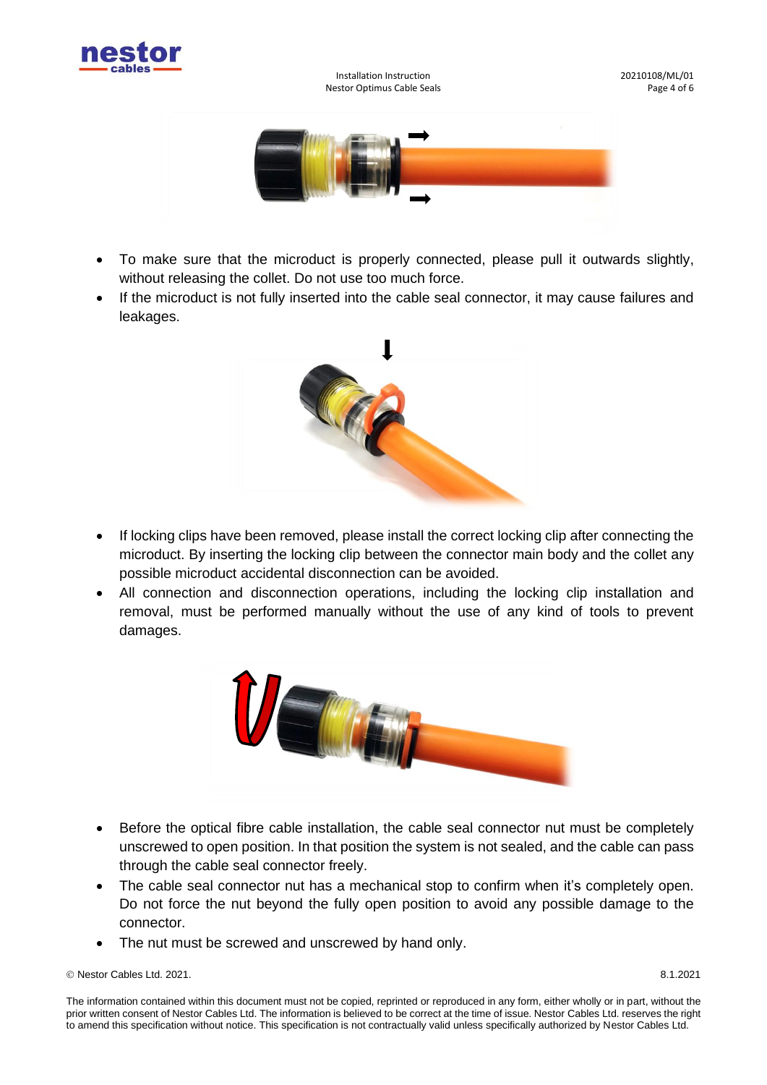

Installation Instruction **1996** 100 and 101 and 1020210108/ML/01 and 103 and 103 and 103 and 103 and 103 and 10<br>Page 4 of 6 Nestor Optimus Cable Seals



- To make sure that the microduct is properly connected, please pull it outwards slightly, without releasing the collet. Do not use too much force.
- If the microduct is not fully inserted into the cable seal connector, it may cause failures and leakages.



- If locking clips have been removed, please install the correct locking clip after connecting the microduct. By inserting the locking clip between the connector main body and the collet any possible microduct accidental disconnection can be avoided.
- All connection and disconnection operations, including the locking clip installation and removal, must be performed manually without the use of any kind of tools to prevent damages.



- Before the optical fibre cable installation, the cable seal connector nut must be completely unscrewed to open position. In that position the system is not sealed, and the cable can pass through the cable seal connector freely.
- The cable seal connector nut has a mechanical stop to confirm when it's completely open. Do not force the nut beyond the fully open position to avoid any possible damage to the connector.
- The nut must be screwed and unscrewed by hand only.

© Nestor Cables Ltd. 2021. 8.1.2021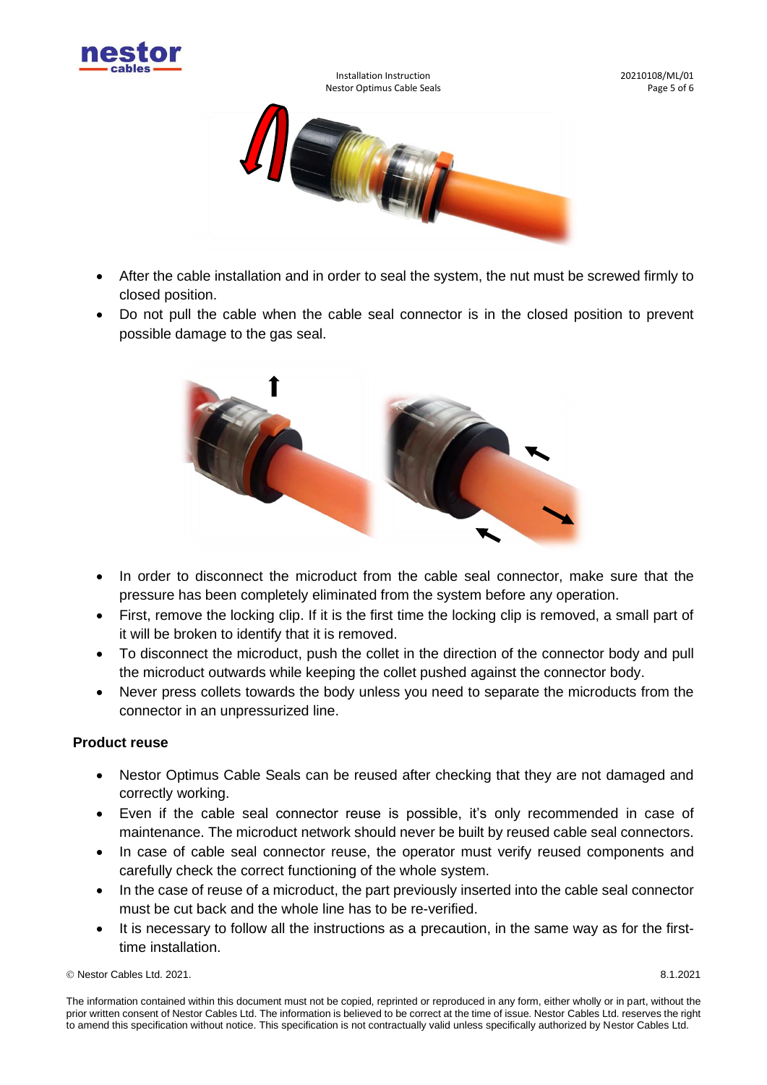

Installation Instruction 20210108/ML/01 Nestor Optimus Cable Seals **Page 1** of 6



- After the cable installation and in order to seal the system, the nut must be screwed firmly to closed position.
- Do not pull the cable when the cable seal connector is in the closed position to prevent possible damage to the gas seal.



- In order to disconnect the microduct from the cable seal connector, make sure that the pressure has been completely eliminated from the system before any operation.
- First, remove the locking clip. If it is the first time the locking clip is removed, a small part of it will be broken to identify that it is removed.
- To disconnect the microduct, push the collet in the direction of the connector body and pull the microduct outwards while keeping the collet pushed against the connector body.
- Never press collets towards the body unless you need to separate the microducts from the connector in an unpressurized line.

# **Product reuse**

- Nestor Optimus Cable Seals can be reused after checking that they are not damaged and correctly working.
- Even if the cable seal connector reuse is possible, it's only recommended in case of maintenance. The microduct network should never be built by reused cable seal connectors.
- In case of cable seal connector reuse, the operator must verify reused components and carefully check the correct functioning of the whole system.
- In the case of reuse of a microduct, the part previously inserted into the cable seal connector must be cut back and the whole line has to be re-verified.
- It is necessary to follow all the instructions as a precaution, in the same way as for the firsttime installation.

© Nestor Cables Ltd. 2021. 8.1.2021